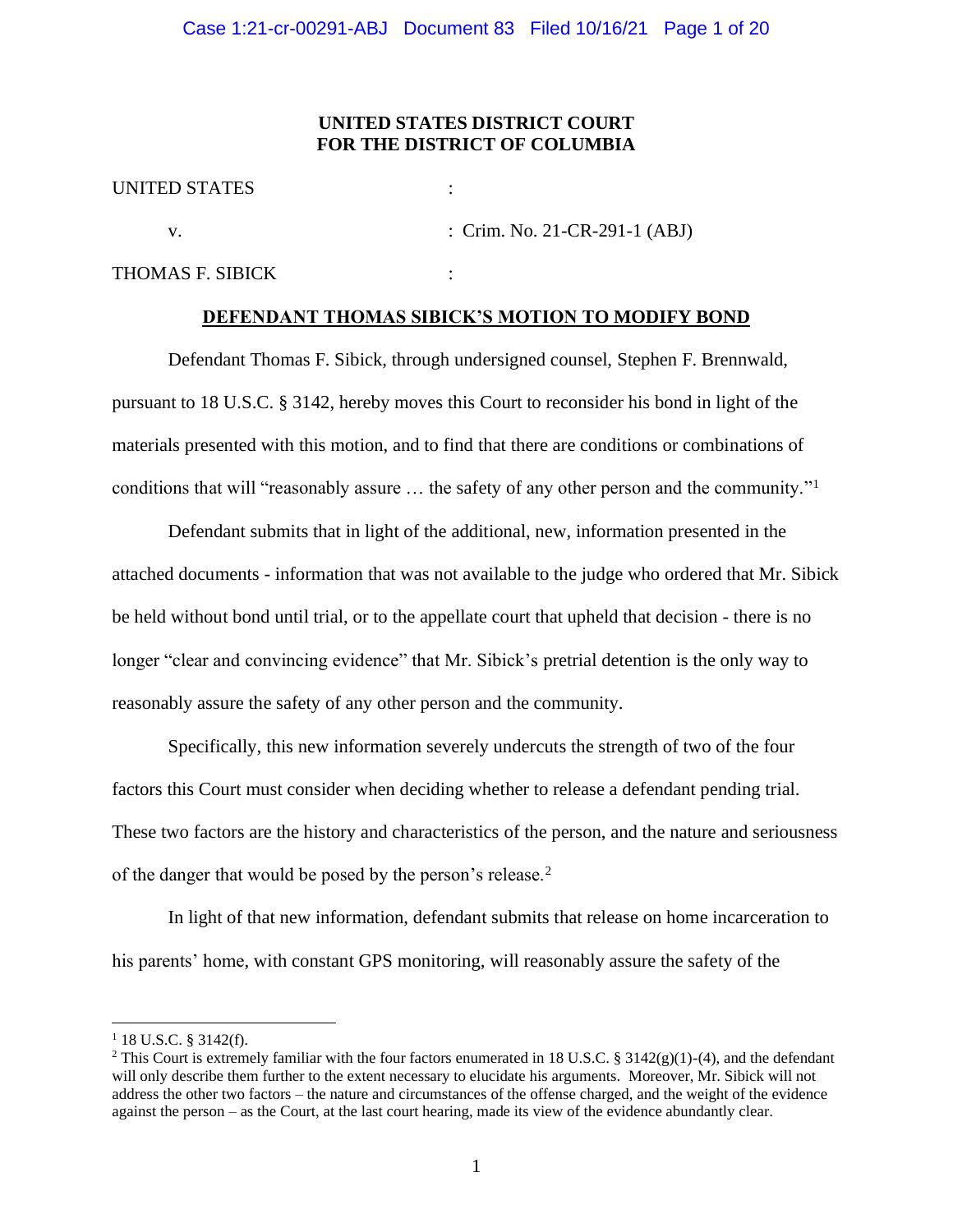# **UNITED STATES DISTRICT COURT FOR THE DISTRICT OF COLUMBIA**

| <b>UNITED STATES</b> |                                 |
|----------------------|---------------------------------|
|                      | : Crim. No. 21-CR-291-1 $(ABJ)$ |
| THOMAS F. SIBICK     |                                 |

# **DEFENDANT THOMAS SIBICK'S MOTION TO MODIFY BOND**

Defendant Thomas F. Sibick, through undersigned counsel, Stephen F. Brennwald, pursuant to 18 U.S.C. § 3142, hereby moves this Court to reconsider his bond in light of the materials presented with this motion, and to find that there are conditions or combinations of conditions that will "reasonably assure ... the safety of any other person and the community."<sup>1</sup>

Defendant submits that in light of the additional, new, information presented in the attached documents - information that was not available to the judge who ordered that Mr. Sibick be held without bond until trial, or to the appellate court that upheld that decision - there is no longer "clear and convincing evidence" that Mr. Sibick's pretrial detention is the only way to reasonably assure the safety of any other person and the community.

Specifically, this new information severely undercuts the strength of two of the four factors this Court must consider when deciding whether to release a defendant pending trial. These two factors are the history and characteristics of the person, and the nature and seriousness of the danger that would be posed by the person's release.<sup>2</sup>

In light of that new information, defendant submits that release on home incarceration to his parents' home, with constant GPS monitoring, will reasonably assure the safety of the

 $1$  18 U.S.C. § 3142(f).

<sup>&</sup>lt;sup>2</sup> This Court is extremely familiar with the four factors enumerated in 18 U.S.C. § 3142(g)(1)-(4), and the defendant will only describe them further to the extent necessary to elucidate his arguments. Moreover, Mr. Sibick will not address the other two factors – the nature and circumstances of the offense charged, and the weight of the evidence against the person – as the Court, at the last court hearing, made its view of the evidence abundantly clear.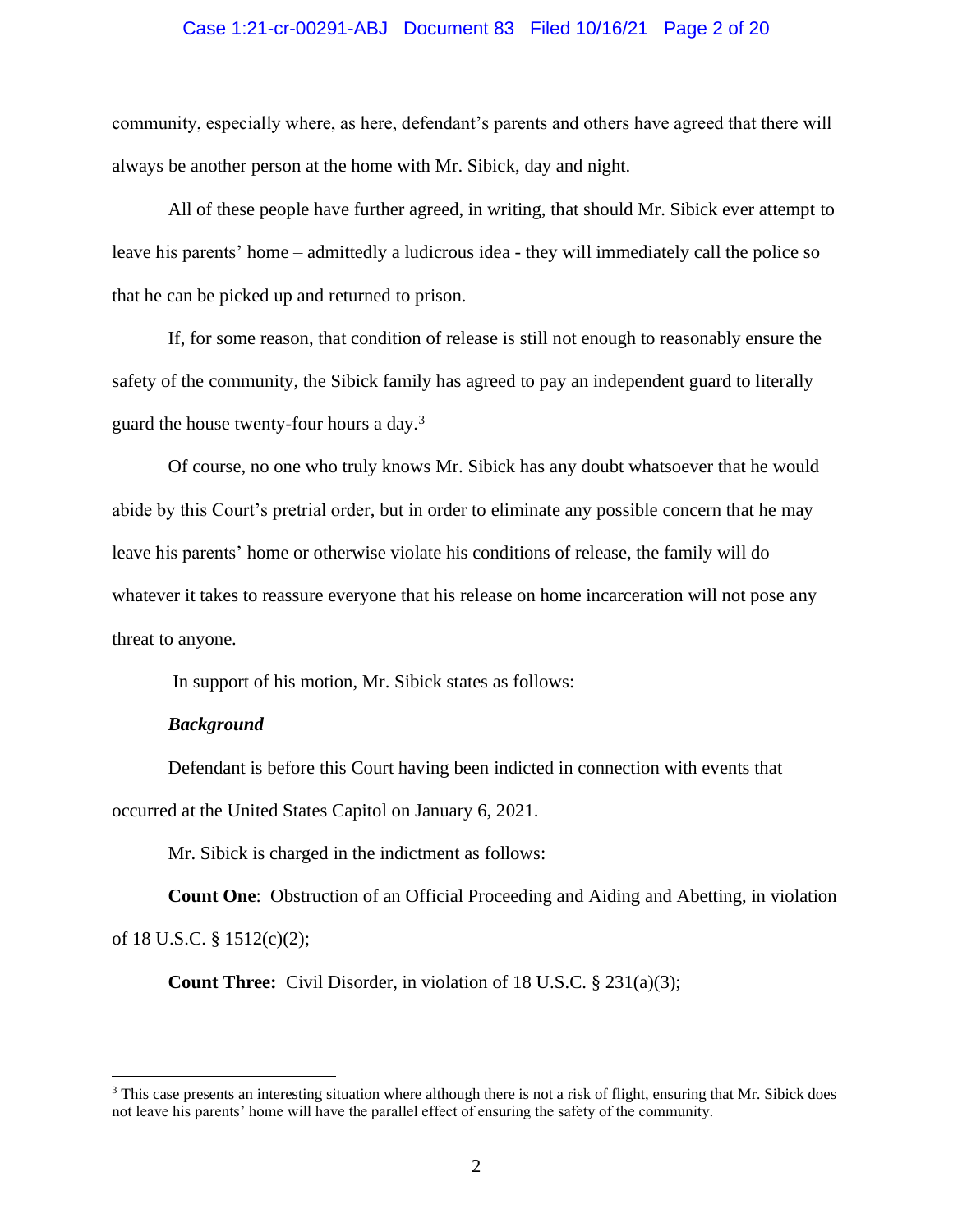# Case 1:21-cr-00291-ABJ Document 83 Filed 10/16/21 Page 2 of 20

community, especially where, as here, defendant's parents and others have agreed that there will always be another person at the home with Mr. Sibick, day and night.

All of these people have further agreed, in writing, that should Mr. Sibick ever attempt to leave his parents' home – admittedly a ludicrous idea - they will immediately call the police so that he can be picked up and returned to prison.

If, for some reason, that condition of release is still not enough to reasonably ensure the safety of the community, the Sibick family has agreed to pay an independent guard to literally guard the house twenty-four hours a day. $3$ 

Of course, no one who truly knows Mr. Sibick has any doubt whatsoever that he would abide by this Court's pretrial order, but in order to eliminate any possible concern that he may leave his parents' home or otherwise violate his conditions of release, the family will do whatever it takes to reassure everyone that his release on home incarceration will not pose any threat to anyone.

In support of his motion, Mr. Sibick states as follows:

## *Background*

Defendant is before this Court having been indicted in connection with events that occurred at the United States Capitol on January 6, 2021.

Mr. Sibick is charged in the indictment as follows:

**Count One**: Obstruction of an Official Proceeding and Aiding and Abetting, in violation of 18 U.S.C. § 1512(c)(2);

**Count Three:** Civil Disorder, in violation of 18 U.S.C. § 231(a)(3);

<sup>&</sup>lt;sup>3</sup> This case presents an interesting situation where although there is not a risk of flight, ensuring that Mr. Sibick does not leave his parents' home will have the parallel effect of ensuring the safety of the community.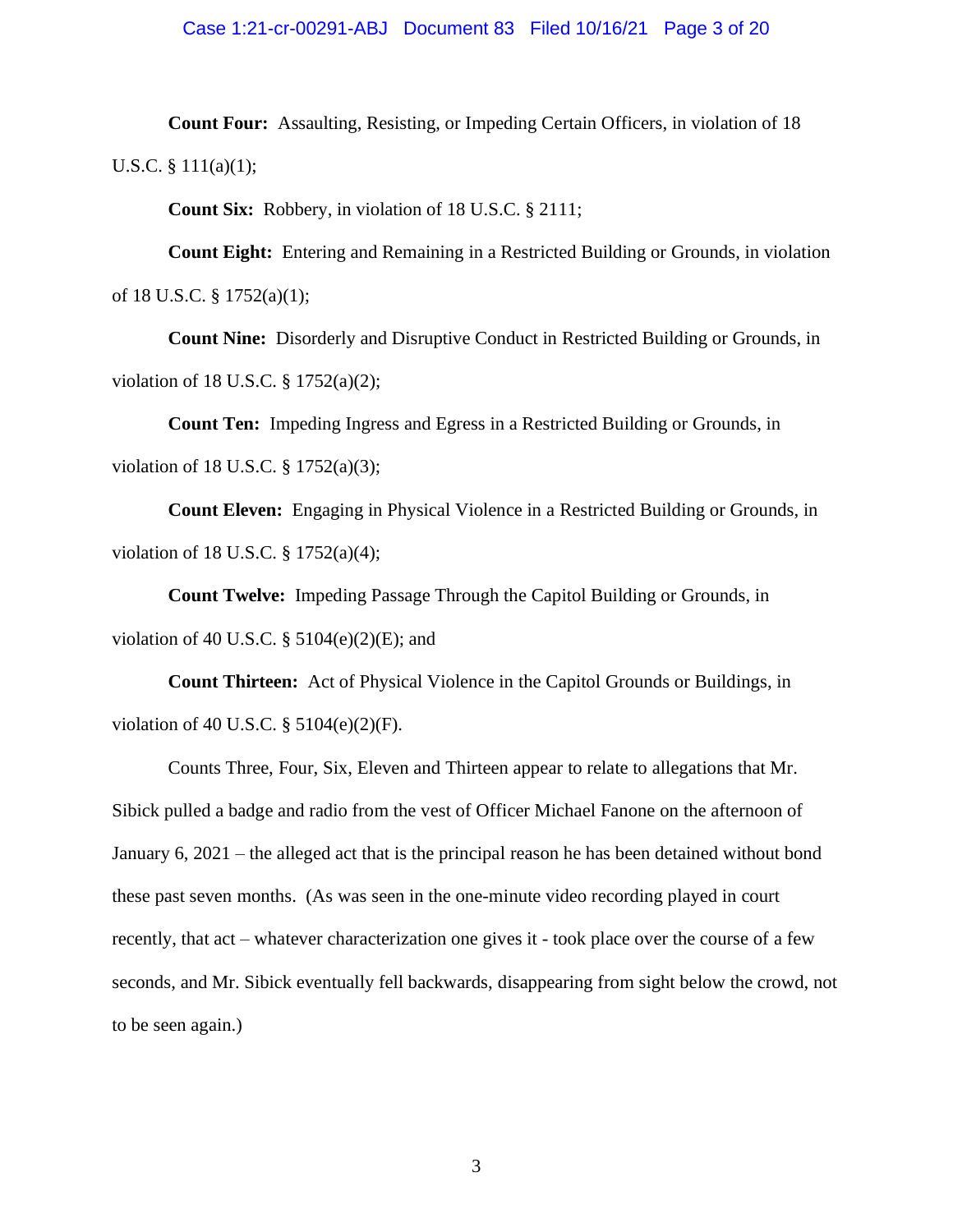# Case 1:21-cr-00291-ABJ Document 83 Filed 10/16/21 Page 3 of 20

**Count Four:** Assaulting, Resisting, or Impeding Certain Officers, in violation of 18 U.S.C. § 111(a)(1);

**Count Six:** Robbery, in violation of 18 U.S.C. § 2111;

**Count Eight:** Entering and Remaining in a Restricted Building or Grounds, in violation of 18 U.S.C. § 1752(a)(1);

**Count Nine:** Disorderly and Disruptive Conduct in Restricted Building or Grounds, in violation of 18 U.S.C. § 1752(a)(2);

**Count Ten:** Impeding Ingress and Egress in a Restricted Building or Grounds, in violation of 18 U.S.C. § 1752(a)(3);

**Count Eleven:** Engaging in Physical Violence in a Restricted Building or Grounds, in violation of 18 U.S.C. § 1752(a)(4);

**Count Twelve:** Impeding Passage Through the Capitol Building or Grounds, in violation of 40 U.S.C.  $\S$  5104(e)(2)(E); and

**Count Thirteen:** Act of Physical Violence in the Capitol Grounds or Buildings, in violation of 40 U.S.C. § 5104(e)(2)(F).

Counts Three, Four, Six, Eleven and Thirteen appear to relate to allegations that Mr. Sibick pulled a badge and radio from the vest of Officer Michael Fanone on the afternoon of January 6, 2021 – the alleged act that is the principal reason he has been detained without bond these past seven months. (As was seen in the one-minute video recording played in court recently, that act – whatever characterization one gives it - took place over the course of a few seconds, and Mr. Sibick eventually fell backwards, disappearing from sight below the crowd, not to be seen again.)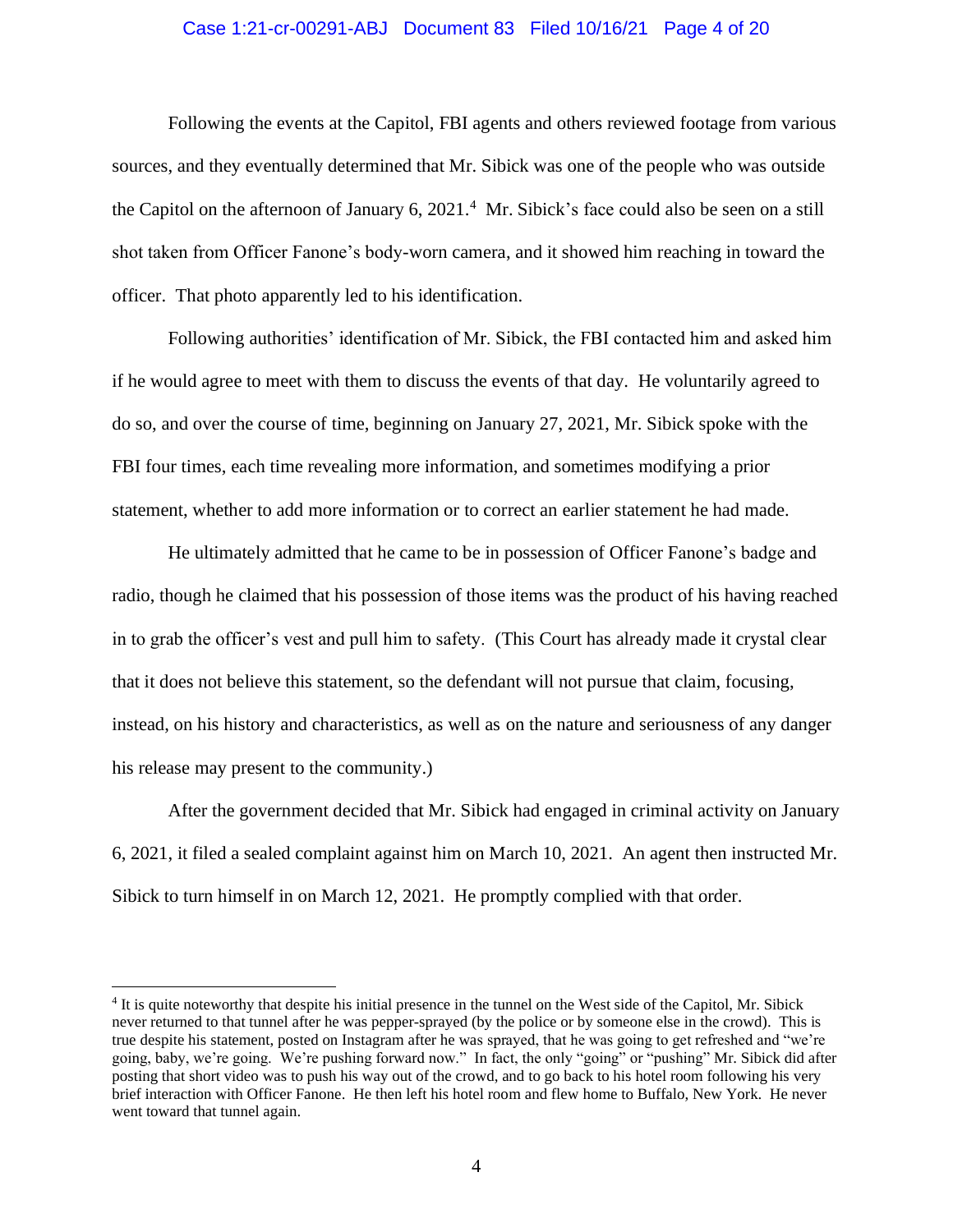# Case 1:21-cr-00291-ABJ Document 83 Filed 10/16/21 Page 4 of 20

Following the events at the Capitol, FBI agents and others reviewed footage from various sources, and they eventually determined that Mr. Sibick was one of the people who was outside the Capitol on the afternoon of January 6, 2021.<sup>4</sup> Mr. Sibick's face could also be seen on a still shot taken from Officer Fanone's body-worn camera, and it showed him reaching in toward the officer. That photo apparently led to his identification.

Following authorities' identification of Mr. Sibick, the FBI contacted him and asked him if he would agree to meet with them to discuss the events of that day. He voluntarily agreed to do so, and over the course of time, beginning on January 27, 2021, Mr. Sibick spoke with the FBI four times, each time revealing more information, and sometimes modifying a prior statement, whether to add more information or to correct an earlier statement he had made.

He ultimately admitted that he came to be in possession of Officer Fanone's badge and radio, though he claimed that his possession of those items was the product of his having reached in to grab the officer's vest and pull him to safety. (This Court has already made it crystal clear that it does not believe this statement, so the defendant will not pursue that claim, focusing, instead, on his history and characteristics, as well as on the nature and seriousness of any danger his release may present to the community.)

After the government decided that Mr. Sibick had engaged in criminal activity on January 6, 2021, it filed a sealed complaint against him on March 10, 2021. An agent then instructed Mr. Sibick to turn himself in on March 12, 2021. He promptly complied with that order.

<sup>&</sup>lt;sup>4</sup> It is quite noteworthy that despite his initial presence in the tunnel on the West side of the Capitol, Mr. Sibick never returned to that tunnel after he was pepper-sprayed (by the police or by someone else in the crowd). This is true despite his statement, posted on Instagram after he was sprayed, that he was going to get refreshed and "we're going, baby, we're going. We're pushing forward now." In fact, the only "going" or "pushing" Mr. Sibick did after posting that short video was to push his way out of the crowd, and to go back to his hotel room following his very brief interaction with Officer Fanone. He then left his hotel room and flew home to Buffalo, New York. He never went toward that tunnel again.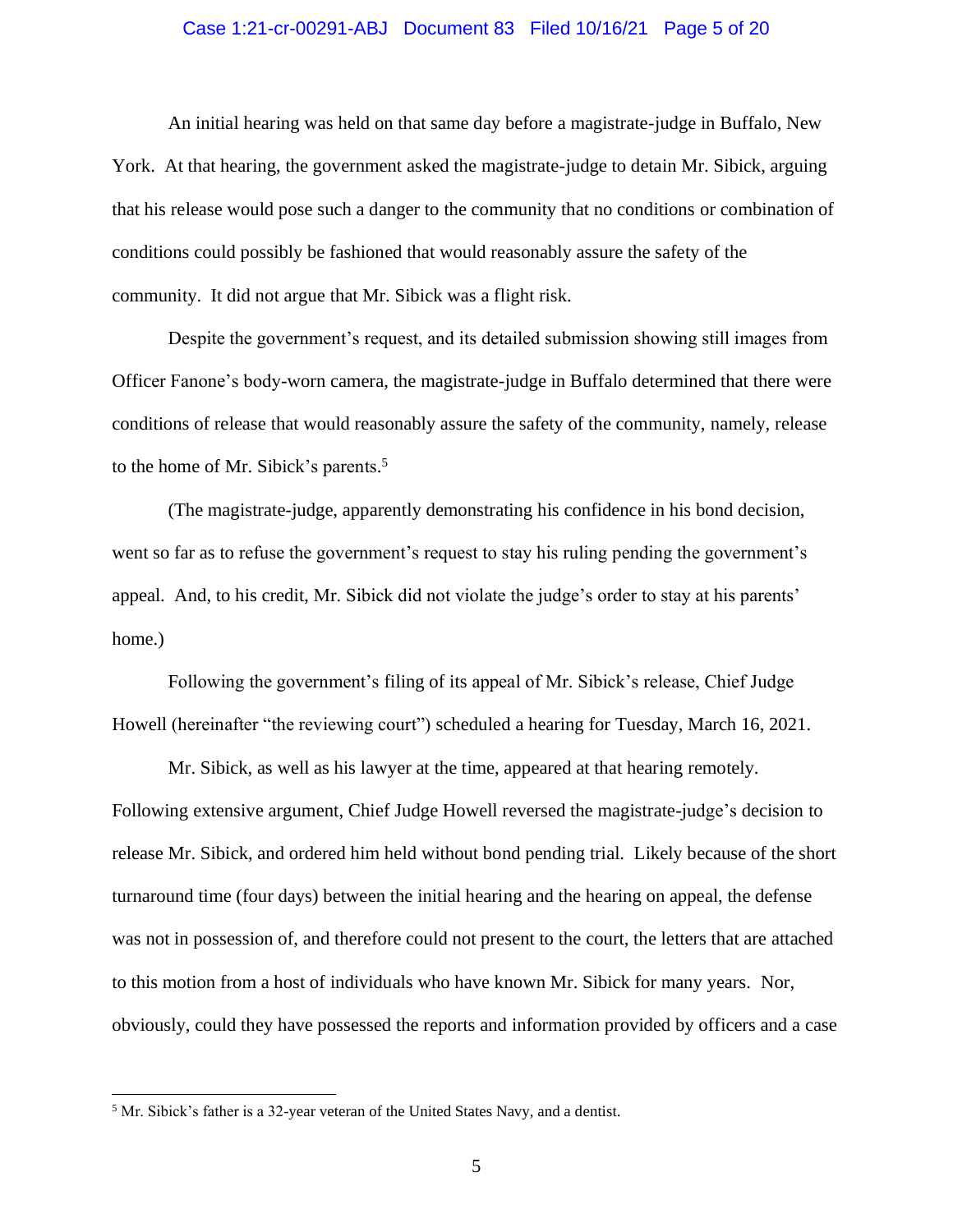## Case 1:21-cr-00291-ABJ Document 83 Filed 10/16/21 Page 5 of 20

An initial hearing was held on that same day before a magistrate-judge in Buffalo, New York. At that hearing, the government asked the magistrate-judge to detain Mr. Sibick, arguing that his release would pose such a danger to the community that no conditions or combination of conditions could possibly be fashioned that would reasonably assure the safety of the community. It did not argue that Mr. Sibick was a flight risk.

Despite the government's request, and its detailed submission showing still images from Officer Fanone's body-worn camera, the magistrate-judge in Buffalo determined that there were conditions of release that would reasonably assure the safety of the community, namely, release to the home of Mr. Sibick's parents. 5

(The magistrate-judge, apparently demonstrating his confidence in his bond decision, went so far as to refuse the government's request to stay his ruling pending the government's appeal. And, to his credit, Mr. Sibick did not violate the judge's order to stay at his parents' home.)

Following the government's filing of its appeal of Mr. Sibick's release, Chief Judge Howell (hereinafter "the reviewing court") scheduled a hearing for Tuesday, March 16, 2021.

Mr. Sibick, as well as his lawyer at the time, appeared at that hearing remotely. Following extensive argument, Chief Judge Howell reversed the magistrate-judge's decision to release Mr. Sibick, and ordered him held without bond pending trial. Likely because of the short turnaround time (four days) between the initial hearing and the hearing on appeal, the defense was not in possession of, and therefore could not present to the court, the letters that are attached to this motion from a host of individuals who have known Mr. Sibick for many years. Nor, obviously, could they have possessed the reports and information provided by officers and a case

<sup>5</sup> Mr. Sibick's father is a 32-year veteran of the United States Navy, and a dentist.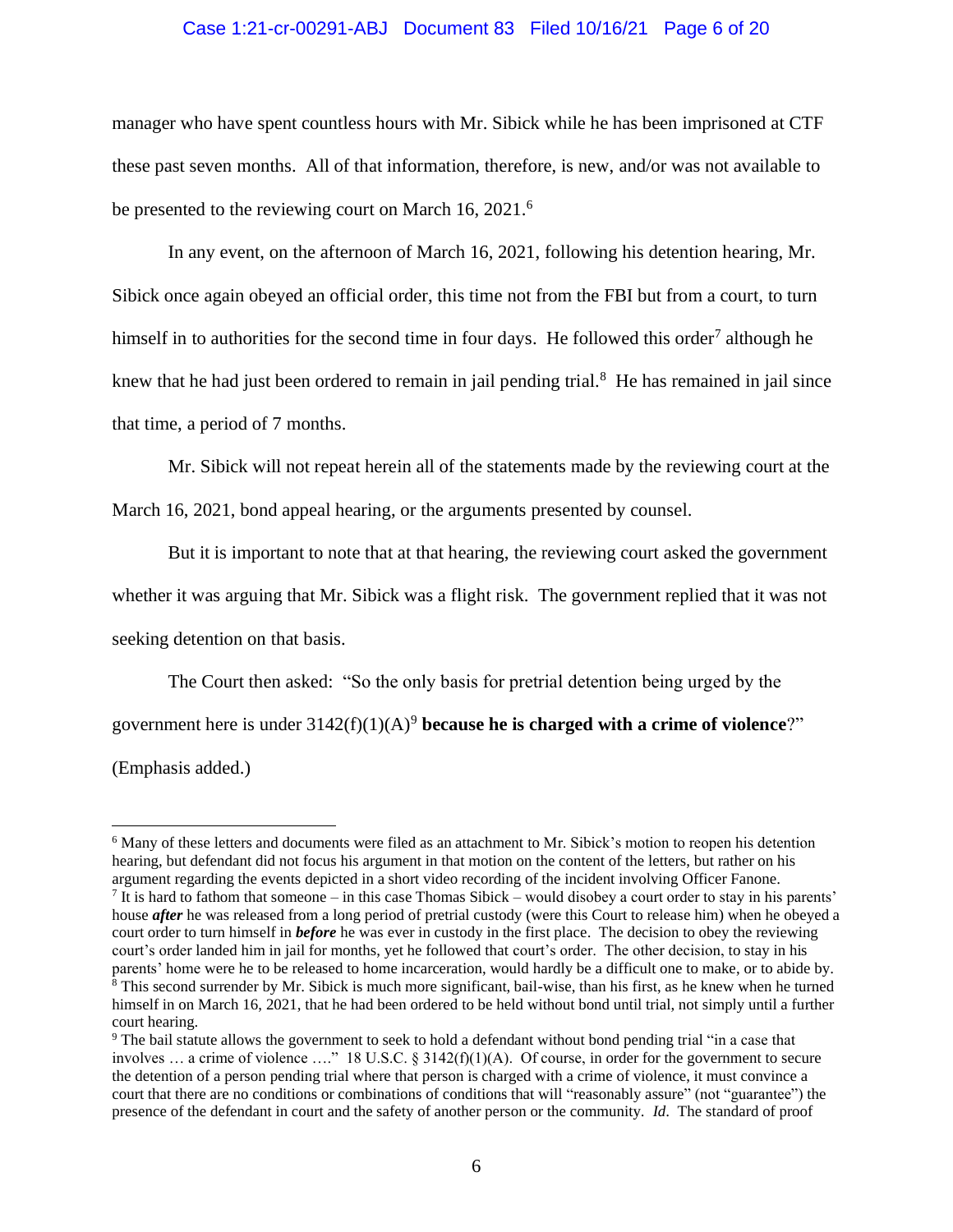## Case 1:21-cr-00291-ABJ Document 83 Filed 10/16/21 Page 6 of 20

manager who have spent countless hours with Mr. Sibick while he has been imprisoned at CTF these past seven months. All of that information, therefore, is new, and/or was not available to be presented to the reviewing court on March 16, 2021.<sup>6</sup>

In any event, on the afternoon of March 16, 2021, following his detention hearing, Mr. Sibick once again obeyed an official order, this time not from the FBI but from a court, to turn himself in to authorities for the second time in four days. He followed this order<sup>7</sup> although he knew that he had just been ordered to remain in jail pending trial.<sup>8</sup> He has remained in jail since that time, a period of 7 months.

Mr. Sibick will not repeat herein all of the statements made by the reviewing court at the March 16, 2021, bond appeal hearing, or the arguments presented by counsel.

But it is important to note that at that hearing, the reviewing court asked the government whether it was arguing that Mr. Sibick was a flight risk. The government replied that it was not seeking detention on that basis.

The Court then asked:"So the only basis for pretrial detention being urged by the government here is under 3142(f)(1)(A)<sup>9</sup> **because he is charged with a crime of violence**?" (Emphasis added.)

<sup>&</sup>lt;sup>6</sup> Many of these letters and documents were filed as an attachment to Mr. Sibick's motion to reopen his detention hearing, but defendant did not focus his argument in that motion on the content of the letters, but rather on his argument regarding the events depicted in a short video recording of the incident involving Officer Fanone.  $<sup>7</sup>$  It is hard to fathom that someone – in this case Thomas Sibick – would disobey a court order to stay in his parents'</sup> house *after* he was released from a long period of pretrial custody (were this Court to release him) when he obeyed a court order to turn himself in *before* he was ever in custody in the first place. The decision to obey the reviewing court's order landed him in jail for months, yet he followed that court's order. The other decision, to stay in his parents' home were he to be released to home incarceration, would hardly be a difficult one to make, or to abide by. <sup>8</sup> This second surrender by Mr. Sibick is much more significant, bail-wise, than his first, as he knew when he turned himself in on March 16, 2021, that he had been ordered to be held without bond until trial, not simply until a further court hearing.

<sup>9</sup> The bail statute allows the government to seek to hold a defendant without bond pending trial "in a case that involves ... a crime of violence ...." 18 U.S.C. § 3142(f)(1)(A). Of course, in order for the government to secure the detention of a person pending trial where that person is charged with a crime of violence, it must convince a court that there are no conditions or combinations of conditions that will "reasonably assure" (not "guarantee") the presence of the defendant in court and the safety of another person or the community. *Id*. The standard of proof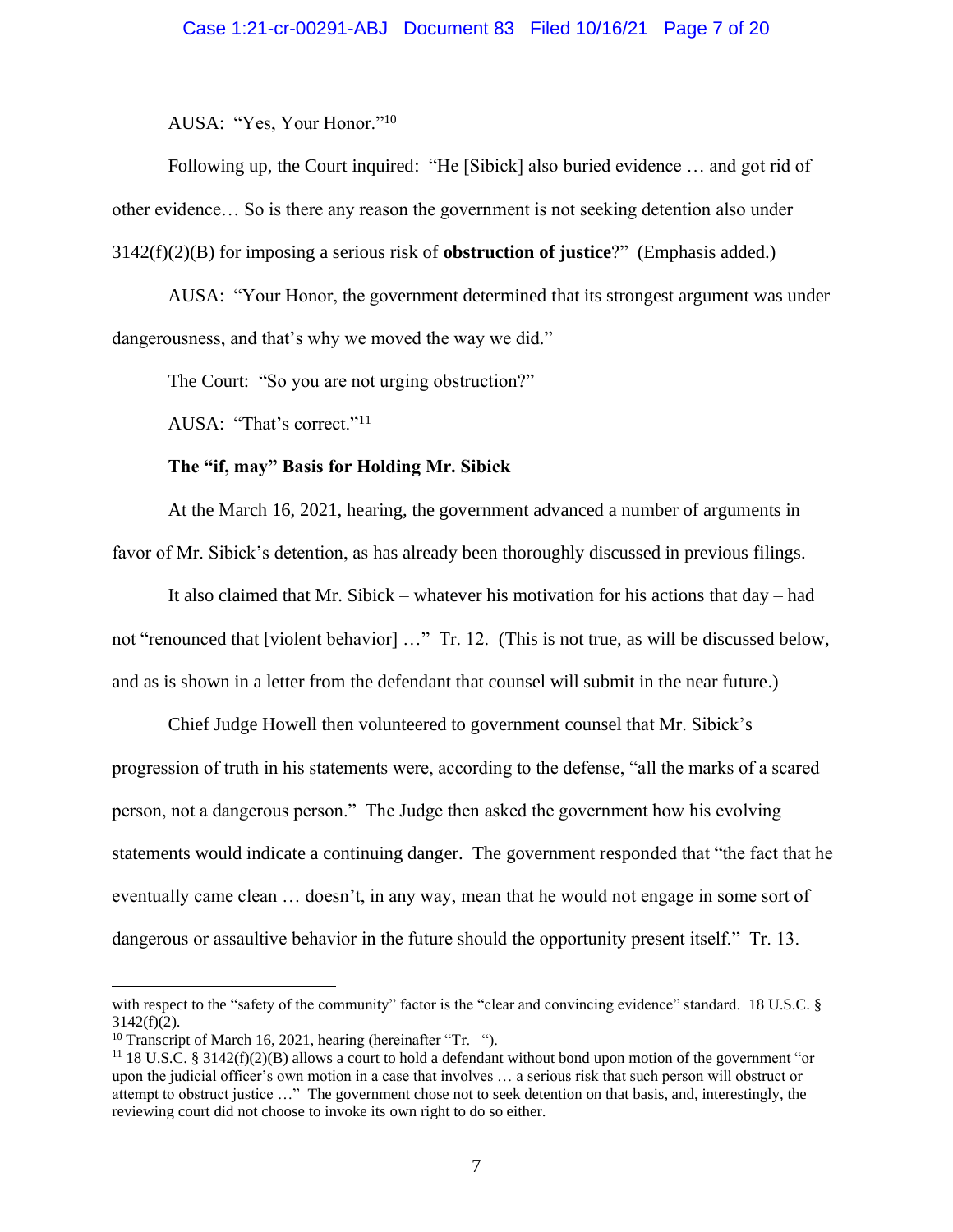AUSA:"Yes, Your Honor."<sup>10</sup>

Following up, the Court inquired:"He [Sibick] also buried evidence … and got rid of other evidence… So is there any reason the government is not seeking detention also under 3142(f)(2)(B) for imposing a serious risk of **obstruction of justice**?" (Emphasis added.)

AUSA:"Your Honor, the government determined that its strongest argument was under dangerousness, and that's why we moved the way we did."

The Court: "So you are not urging obstruction?"

AUSA: "That's correct."<sup>11</sup>

## **The "if, may" Basis for Holding Mr. Sibick**

At the March 16, 2021, hearing, the government advanced a number of arguments in favor of Mr. Sibick's detention, as has already been thoroughly discussed in previous filings.

It also claimed that Mr. Sibick – whatever his motivation for his actions that day – had not "renounced that [violent behavior] …" Tr. 12. (This is not true, as will be discussed below, and as is shown in a letter from the defendant that counsel will submit in the near future.)

Chief Judge Howell then volunteered to government counsel that Mr. Sibick's progression of truth in his statements were, according to the defense, "all the marks of a scared person, not a dangerous person." The Judge then asked the government how his evolving statements would indicate a continuing danger. The government responded that "the fact that he eventually came clean … doesn't, in any way, mean that he would not engage in some sort of dangerous or assaultive behavior in the future should the opportunity present itself." Tr. 13.

with respect to the "safety of the community" factor is the "clear and convincing evidence" standard. 18 U.S.C. §  $3142(f)(2)$ .

<sup>&</sup>lt;sup>10</sup> Transcript of March 16, 2021, hearing (hereinafter "Tr. ").

<sup>11</sup> 18 U.S.C. § 3142(f)(2)(B) allows a court to hold a defendant without bond upon motion of the government "or upon the judicial officer's own motion in a case that involves … a serious risk that such person will obstruct or attempt to obstruct justice …" The government chose not to seek detention on that basis, and, interestingly, the reviewing court did not choose to invoke its own right to do so either.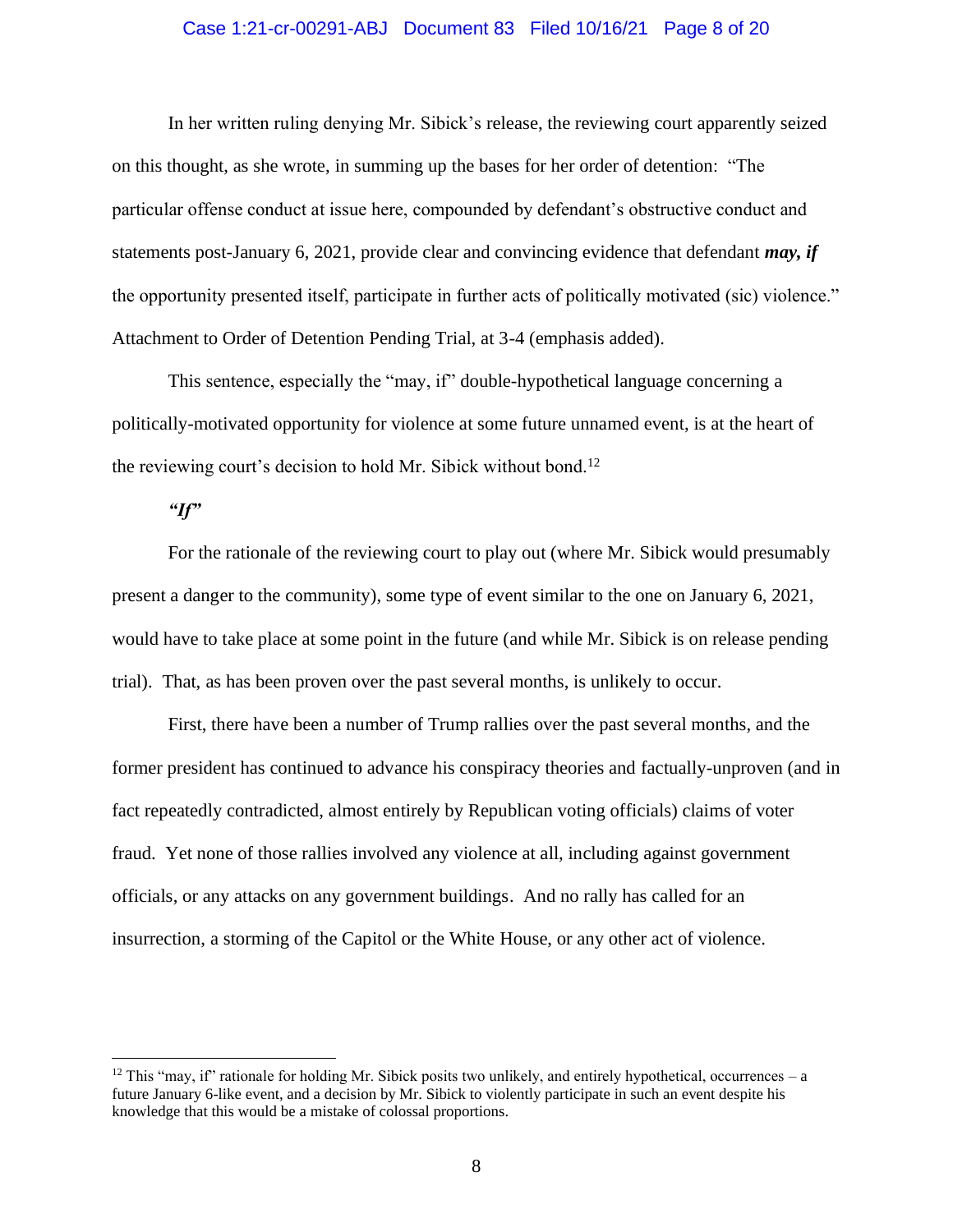# Case 1:21-cr-00291-ABJ Document 83 Filed 10/16/21 Page 8 of 20

In her written ruling denying Mr. Sibick's release, the reviewing court apparently seized on this thought, as she wrote, in summing up the bases for her order of detention: "The particular offense conduct at issue here, compounded by defendant's obstructive conduct and statements post-January 6, 2021, provide clear and convincing evidence that defendant *may, if* the opportunity presented itself, participate in further acts of politically motivated (sic) violence." Attachment to Order of Detention Pending Trial, at 3-4 (emphasis added).

This sentence, especially the "may, if" double-hypothetical language concerning a politically-motivated opportunity for violence at some future unnamed event, is at the heart of the reviewing court's decision to hold Mr. Sibick without bond.<sup>12</sup>

# *"If"*

For the rationale of the reviewing court to play out (where Mr. Sibick would presumably present a danger to the community), some type of event similar to the one on January 6, 2021, would have to take place at some point in the future (and while Mr. Sibick is on release pending trial). That, as has been proven over the past several months, is unlikely to occur.

First, there have been a number of Trump rallies over the past several months, and the former president has continued to advance his conspiracy theories and factually-unproven (and in fact repeatedly contradicted, almost entirely by Republican voting officials) claims of voter fraud. Yet none of those rallies involved any violence at all, including against government officials, or any attacks on any government buildings. And no rally has called for an insurrection, a storming of the Capitol or the White House, or any other act of violence.

<sup>&</sup>lt;sup>12</sup> This "may, if" rationale for holding Mr. Sibick posits two unlikely, and entirely hypothetical, occurrences – a future January 6-like event, and a decision by Mr. Sibick to violently participate in such an event despite his knowledge that this would be a mistake of colossal proportions.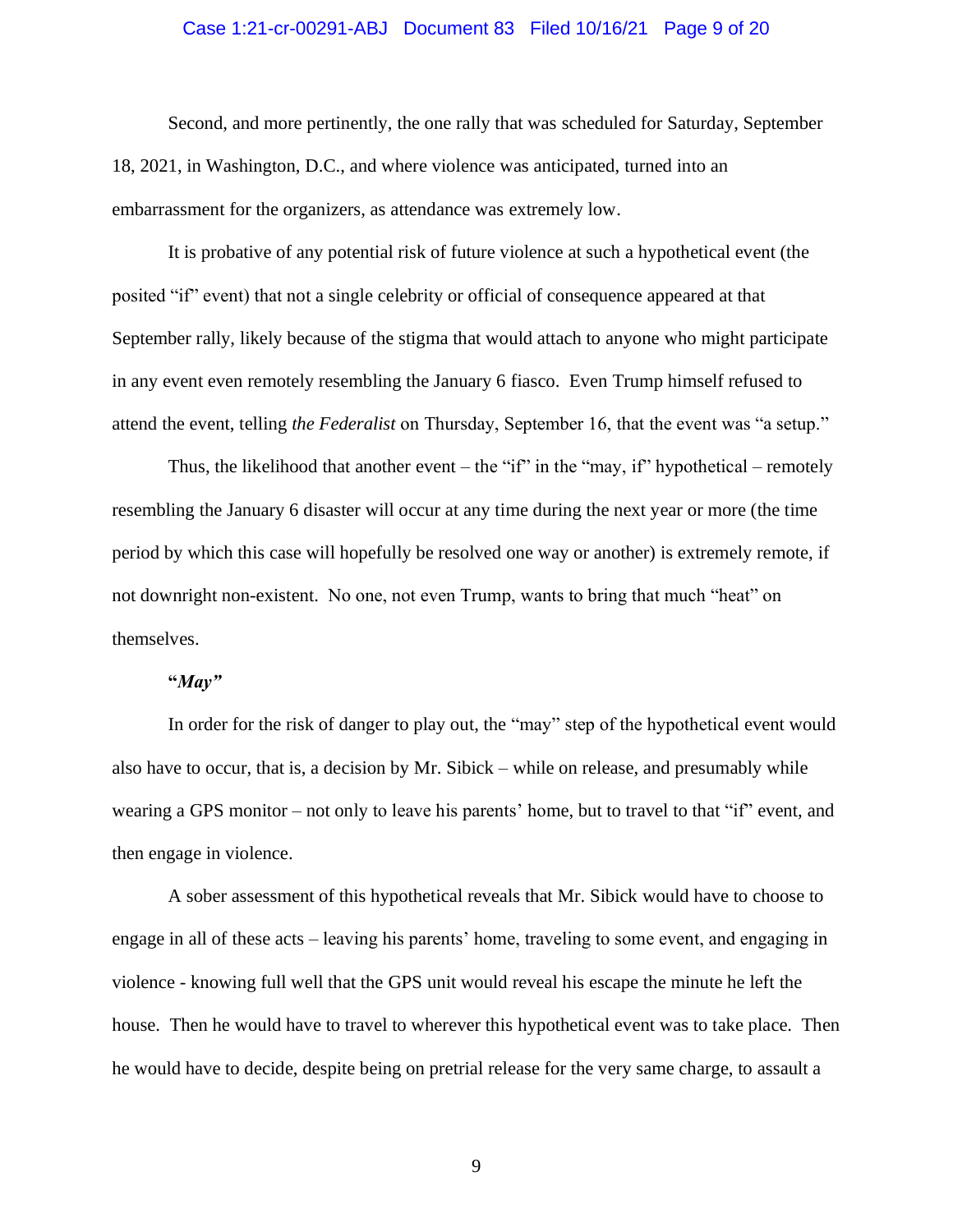# Case 1:21-cr-00291-ABJ Document 83 Filed 10/16/21 Page 9 of 20

Second, and more pertinently, the one rally that was scheduled for Saturday, September 18, 2021, in Washington, D.C., and where violence was anticipated, turned into an embarrassment for the organizers, as attendance was extremely low.

It is probative of any potential risk of future violence at such a hypothetical event (the posited "if" event) that not a single celebrity or official of consequence appeared at that September rally, likely because of the stigma that would attach to anyone who might participate in any event even remotely resembling the January 6 fiasco. Even Trump himself refused to attend the event, telling *the Federalist* on Thursday, September 16, that the event was "a setup."

Thus, the likelihood that another event – the "if" in the "may, if" hypothetical – remotely resembling the January 6 disaster will occur at any time during the next year or more (the time period by which this case will hopefully be resolved one way or another) is extremely remote, if not downright non-existent. No one, not even Trump, wants to bring that much "heat" on themselves.

#### **"***May"*

In order for the risk of danger to play out, the "may" step of the hypothetical event would also have to occur, that is, a decision by Mr. Sibick – while on release, and presumably while wearing a GPS monitor – not only to leave his parents' home, but to travel to that "if" event, and then engage in violence.

A sober assessment of this hypothetical reveals that Mr. Sibick would have to choose to engage in all of these acts – leaving his parents' home, traveling to some event, and engaging in violence - knowing full well that the GPS unit would reveal his escape the minute he left the house. Then he would have to travel to wherever this hypothetical event was to take place. Then he would have to decide, despite being on pretrial release for the very same charge, to assault a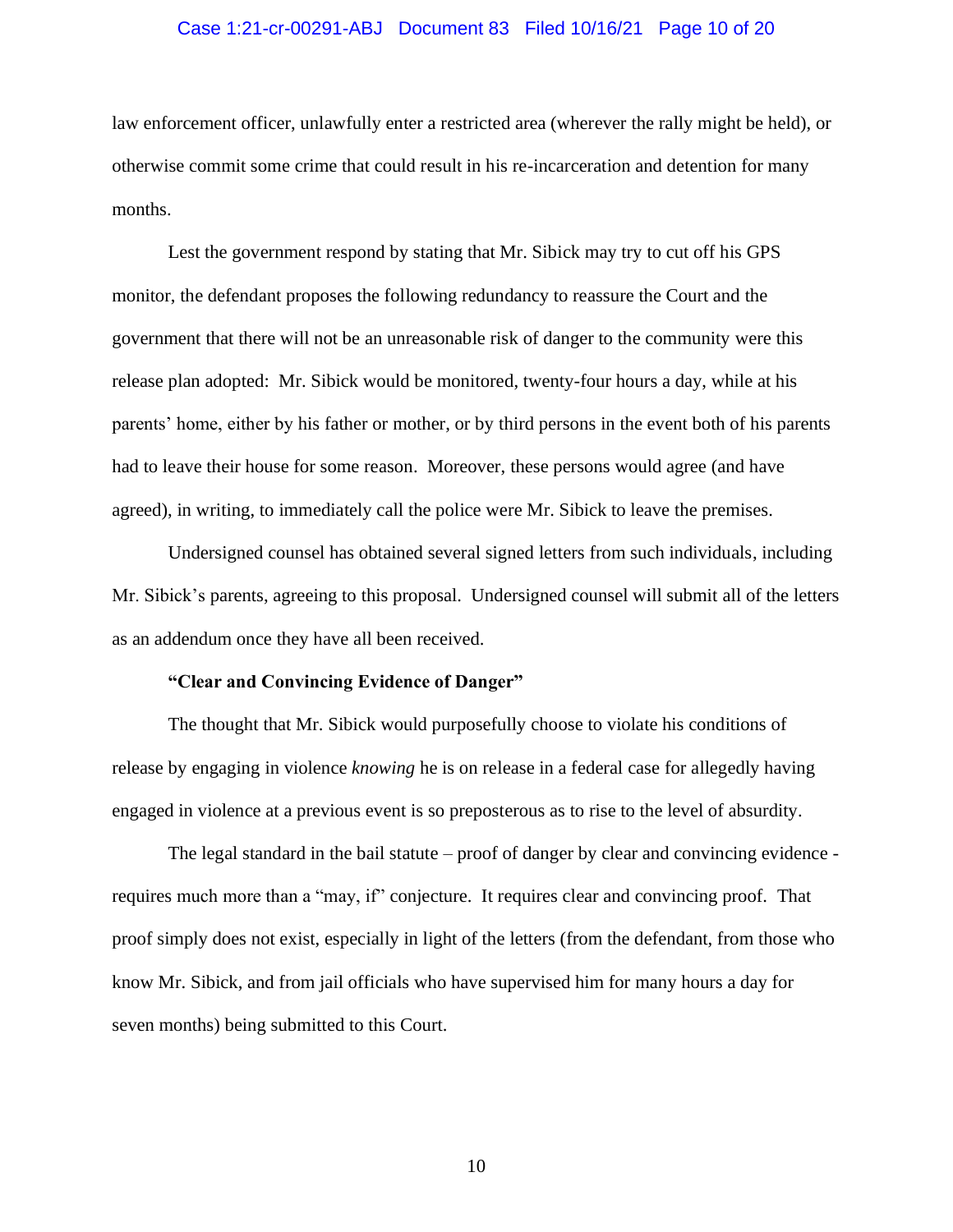# Case 1:21-cr-00291-ABJ Document 83 Filed 10/16/21 Page 10 of 20

law enforcement officer, unlawfully enter a restricted area (wherever the rally might be held), or otherwise commit some crime that could result in his re-incarceration and detention for many months.

Lest the government respond by stating that Mr. Sibick may try to cut off his GPS monitor, the defendant proposes the following redundancy to reassure the Court and the government that there will not be an unreasonable risk of danger to the community were this release plan adopted: Mr. Sibick would be monitored, twenty-four hours a day, while at his parents' home, either by his father or mother, or by third persons in the event both of his parents had to leave their house for some reason. Moreover, these persons would agree (and have agreed), in writing, to immediately call the police were Mr. Sibick to leave the premises.

Undersigned counsel has obtained several signed letters from such individuals, including Mr. Sibick's parents, agreeing to this proposal. Undersigned counsel will submit all of the letters as an addendum once they have all been received.

### **"Clear and Convincing Evidence of Danger"**

The thought that Mr. Sibick would purposefully choose to violate his conditions of release by engaging in violence *knowing* he is on release in a federal case for allegedly having engaged in violence at a previous event is so preposterous as to rise to the level of absurdity.

The legal standard in the bail statute – proof of danger by clear and convincing evidence requires much more than a "may, if" conjecture. It requires clear and convincing proof. That proof simply does not exist, especially in light of the letters (from the defendant, from those who know Mr. Sibick, and from jail officials who have supervised him for many hours a day for seven months) being submitted to this Court.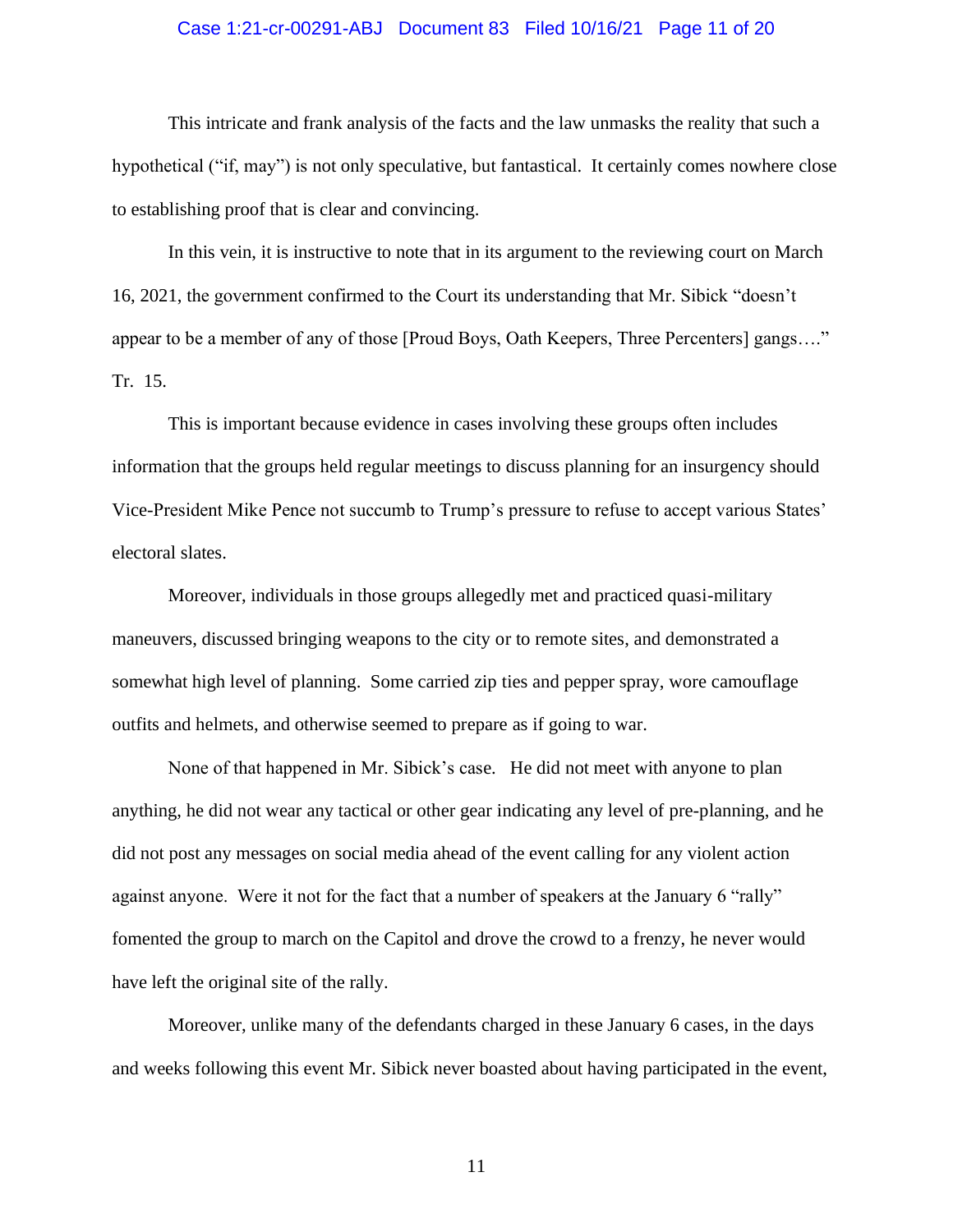# Case 1:21-cr-00291-ABJ Document 83 Filed 10/16/21 Page 11 of 20

This intricate and frank analysis of the facts and the law unmasks the reality that such a hypothetical ("if, may") is not only speculative, but fantastical. It certainly comes nowhere close to establishing proof that is clear and convincing.

In this vein, it is instructive to note that in its argument to the reviewing court on March 16, 2021, the government confirmed to the Court its understanding that Mr. Sibick "doesn't appear to be a member of any of those [Proud Boys, Oath Keepers, Three Percenters] gangs…." Tr. 15.

This is important because evidence in cases involving these groups often includes information that the groups held regular meetings to discuss planning for an insurgency should Vice-President Mike Pence not succumb to Trump's pressure to refuse to accept various States' electoral slates.

Moreover, individuals in those groups allegedly met and practiced quasi-military maneuvers, discussed bringing weapons to the city or to remote sites, and demonstrated a somewhat high level of planning. Some carried zip ties and pepper spray, wore camouflage outfits and helmets, and otherwise seemed to prepare as if going to war.

None of that happened in Mr. Sibick's case. He did not meet with anyone to plan anything, he did not wear any tactical or other gear indicating any level of pre-planning, and he did not post any messages on social media ahead of the event calling for any violent action against anyone. Were it not for the fact that a number of speakers at the January 6 "rally" fomented the group to march on the Capitol and drove the crowd to a frenzy, he never would have left the original site of the rally.

Moreover, unlike many of the defendants charged in these January 6 cases, in the days and weeks following this event Mr. Sibick never boasted about having participated in the event,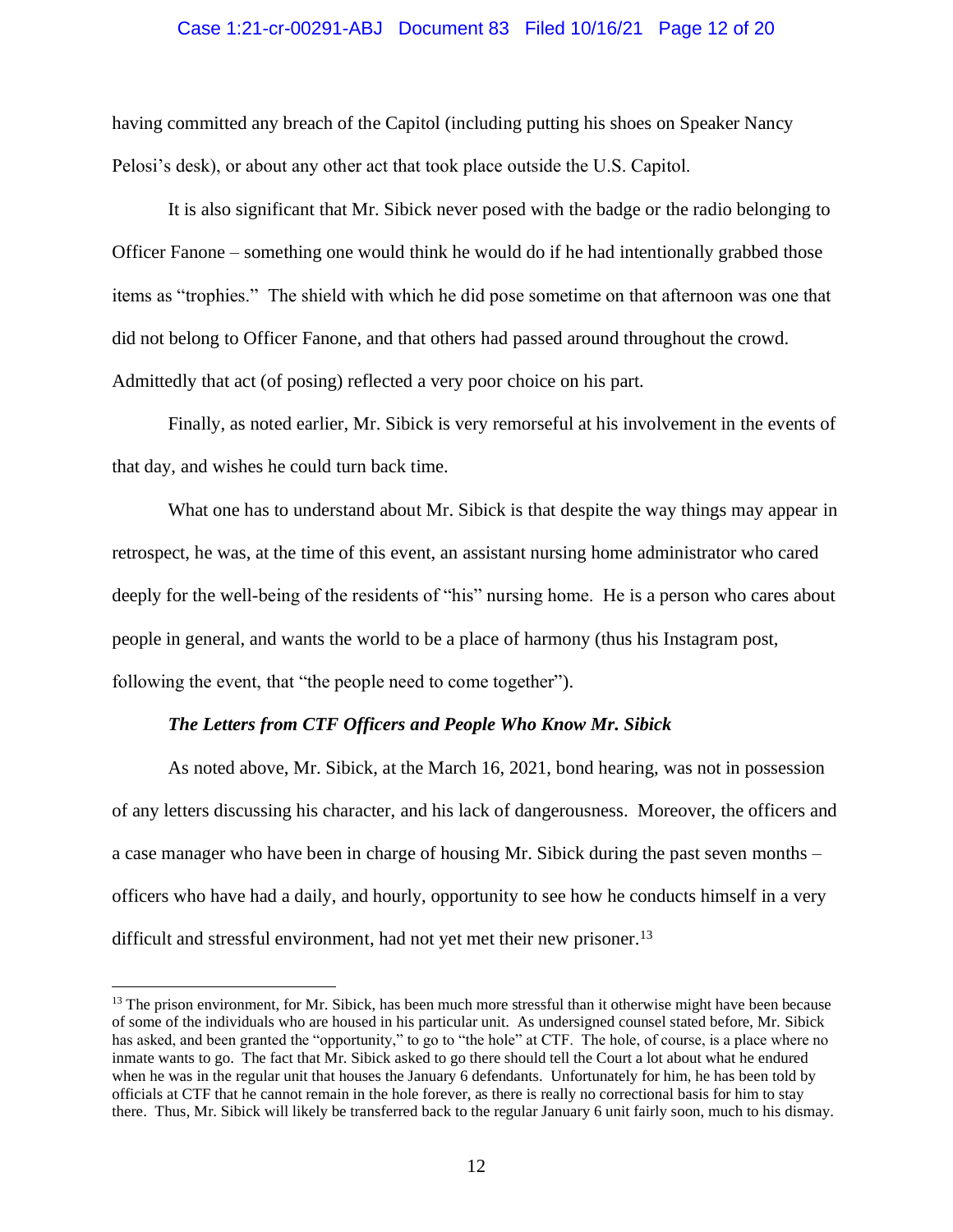# Case 1:21-cr-00291-ABJ Document 83 Filed 10/16/21 Page 12 of 20

having committed any breach of the Capitol (including putting his shoes on Speaker Nancy Pelosi's desk), or about any other act that took place outside the U.S. Capitol.

It is also significant that Mr. Sibick never posed with the badge or the radio belonging to Officer Fanone – something one would think he would do if he had intentionally grabbed those items as "trophies." The shield with which he did pose sometime on that afternoon was one that did not belong to Officer Fanone, and that others had passed around throughout the crowd. Admittedly that act (of posing) reflected a very poor choice on his part.

Finally, as noted earlier, Mr. Sibick is very remorseful at his involvement in the events of that day, and wishes he could turn back time.

What one has to understand about Mr. Sibick is that despite the way things may appear in retrospect, he was, at the time of this event, an assistant nursing home administrator who cared deeply for the well-being of the residents of "his" nursing home. He is a person who cares about people in general, and wants the world to be a place of harmony (thus his Instagram post, following the event, that "the people need to come together").

#### *The Letters from CTF Officers and People Who Know Mr. Sibick*

As noted above, Mr. Sibick, at the March 16, 2021, bond hearing, was not in possession of any letters discussing his character, and his lack of dangerousness. Moreover, the officers and a case manager who have been in charge of housing Mr. Sibick during the past seven months – officers who have had a daily, and hourly, opportunity to see how he conducts himself in a very difficult and stressful environment, had not yet met their new prisoner.<sup>13</sup>

 $<sup>13</sup>$  The prison environment, for Mr. Sibick, has been much more stressful than it otherwise might have been because</sup> of some of the individuals who are housed in his particular unit. As undersigned counsel stated before, Mr. Sibick has asked, and been granted the "opportunity," to go to "the hole" at CTF. The hole, of course, is a place where no inmate wants to go. The fact that Mr. Sibick asked to go there should tell the Court a lot about what he endured when he was in the regular unit that houses the January 6 defendants. Unfortunately for him, he has been told by officials at CTF that he cannot remain in the hole forever, as there is really no correctional basis for him to stay there. Thus, Mr. Sibick will likely be transferred back to the regular January 6 unit fairly soon, much to his dismay.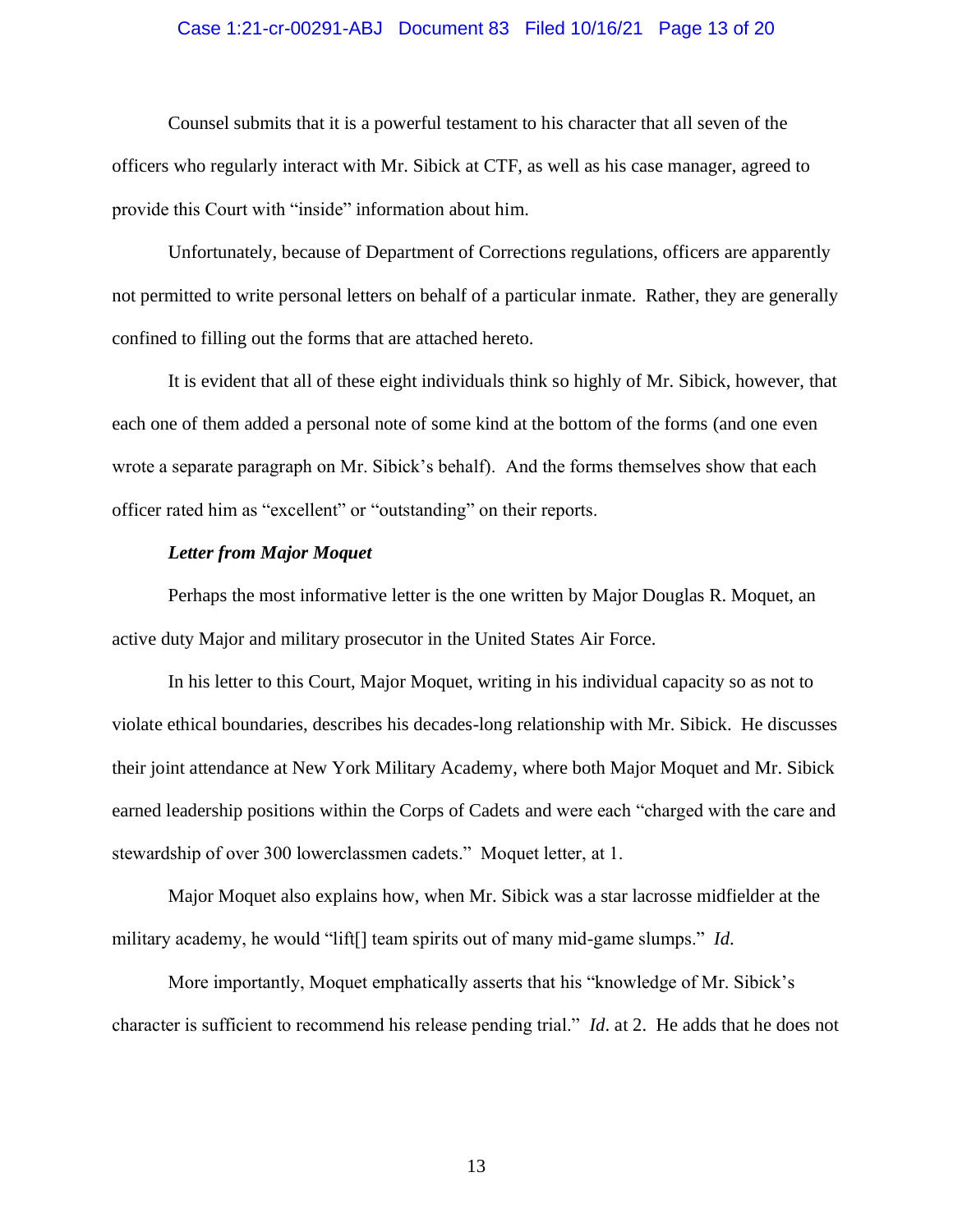# Case 1:21-cr-00291-ABJ Document 83 Filed 10/16/21 Page 13 of 20

Counsel submits that it is a powerful testament to his character that all seven of the officers who regularly interact with Mr. Sibick at CTF, as well as his case manager, agreed to provide this Court with "inside" information about him.

Unfortunately, because of Department of Corrections regulations, officers are apparently not permitted to write personal letters on behalf of a particular inmate. Rather, they are generally confined to filling out the forms that are attached hereto.

It is evident that all of these eight individuals think so highly of Mr. Sibick, however, that each one of them added a personal note of some kind at the bottom of the forms (and one even wrote a separate paragraph on Mr. Sibick's behalf). And the forms themselves show that each officer rated him as "excellent" or "outstanding" on their reports.

## *Letter from Major Moquet*

Perhaps the most informative letter is the one written by Major Douglas R. Moquet, an active duty Major and military prosecutor in the United States Air Force.

In his letter to this Court, Major Moquet, writing in his individual capacity so as not to violate ethical boundaries, describes his decades-long relationship with Mr. Sibick. He discusses their joint attendance at New York Military Academy, where both Major Moquet and Mr. Sibick earned leadership positions within the Corps of Cadets and were each "charged with the care and stewardship of over 300 lowerclassmen cadets." Moquet letter, at 1.

Major Moquet also explains how, when Mr. Sibick was a star lacrosse midfielder at the military academy, he would "lift[] team spirits out of many mid-game slumps." *Id*.

More importantly, Moquet emphatically asserts that his "knowledge of Mr. Sibick's character is sufficient to recommend his release pending trial." *Id*. at 2. He adds that he does not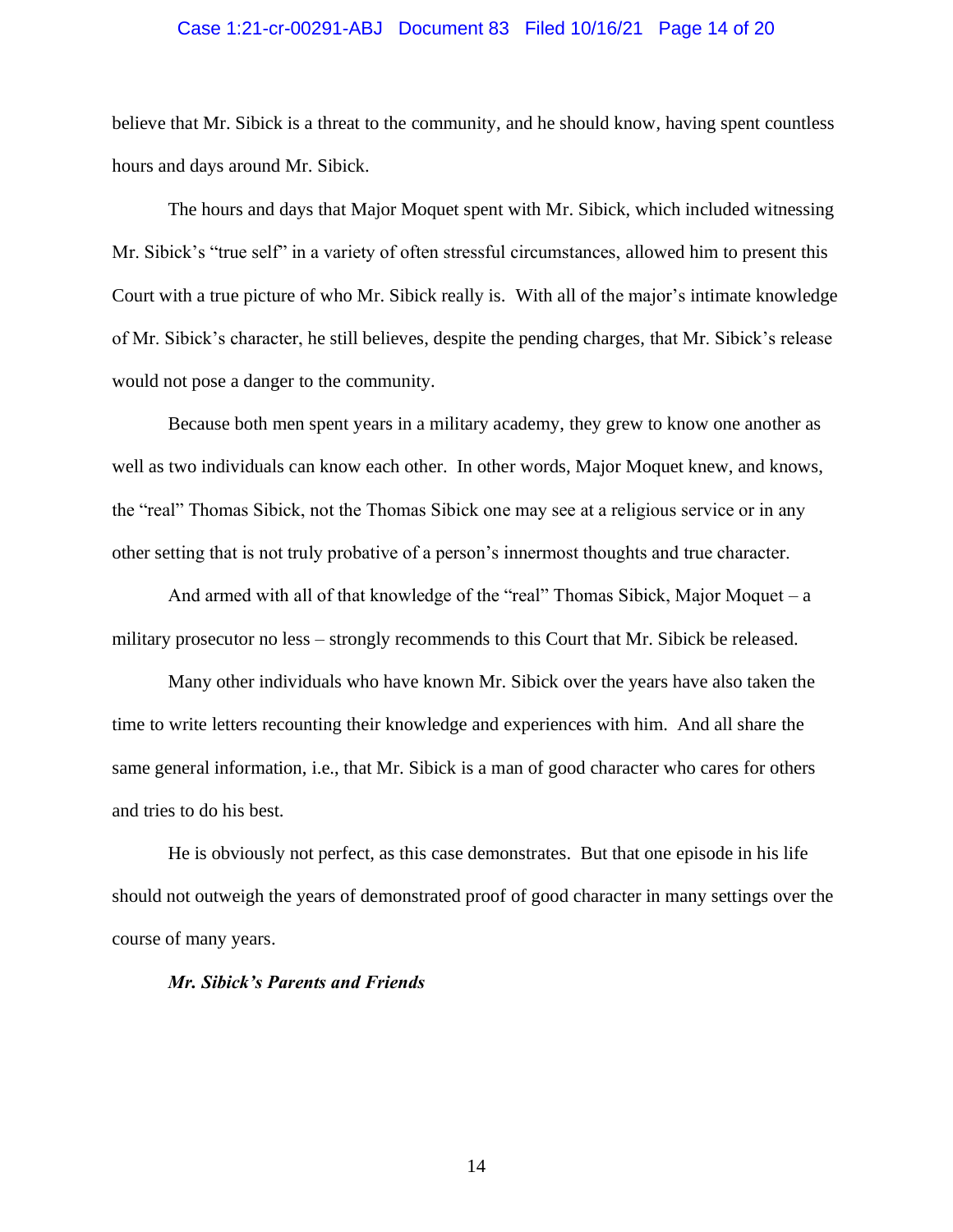# Case 1:21-cr-00291-ABJ Document 83 Filed 10/16/21 Page 14 of 20

believe that Mr. Sibick is a threat to the community, and he should know, having spent countless hours and days around Mr. Sibick.

The hours and days that Major Moquet spent with Mr. Sibick, which included witnessing Mr. Sibick's "true self" in a variety of often stressful circumstances, allowed him to present this Court with a true picture of who Mr. Sibick really is. With all of the major's intimate knowledge of Mr. Sibick's character, he still believes, despite the pending charges, that Mr. Sibick's release would not pose a danger to the community.

Because both men spent years in a military academy, they grew to know one another as well as two individuals can know each other. In other words, Major Moquet knew, and knows, the "real" Thomas Sibick, not the Thomas Sibick one may see at a religious service or in any other setting that is not truly probative of a person's innermost thoughts and true character.

And armed with all of that knowledge of the "real" Thomas Sibick, Major Moquet – a military prosecutor no less – strongly recommends to this Court that Mr. Sibick be released.

Many other individuals who have known Mr. Sibick over the years have also taken the time to write letters recounting their knowledge and experiences with him. And all share the same general information, i.e., that Mr. Sibick is a man of good character who cares for others and tries to do his best.

He is obviously not perfect, as this case demonstrates. But that one episode in his life should not outweigh the years of demonstrated proof of good character in many settings over the course of many years.

### *Mr. Sibick's Parents and Friends*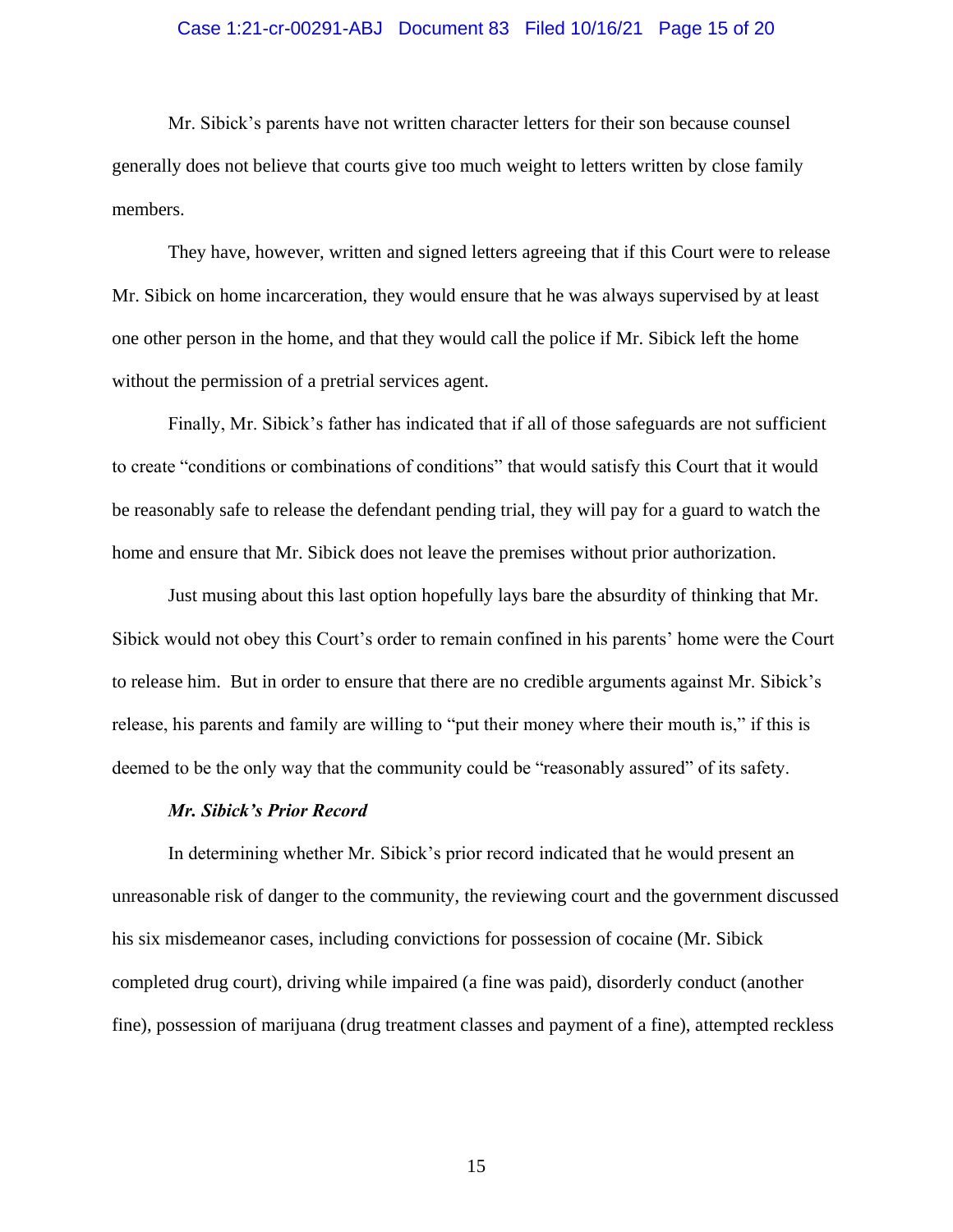# Case 1:21-cr-00291-ABJ Document 83 Filed 10/16/21 Page 15 of 20

Mr. Sibick's parents have not written character letters for their son because counsel generally does not believe that courts give too much weight to letters written by close family members.

They have, however, written and signed letters agreeing that if this Court were to release Mr. Sibick on home incarceration, they would ensure that he was always supervised by at least one other person in the home, and that they would call the police if Mr. Sibick left the home without the permission of a pretrial services agent.

Finally, Mr. Sibick's father has indicated that if all of those safeguards are not sufficient to create "conditions or combinations of conditions" that would satisfy this Court that it would be reasonably safe to release the defendant pending trial, they will pay for a guard to watch the home and ensure that Mr. Sibick does not leave the premises without prior authorization.

Just musing about this last option hopefully lays bare the absurdity of thinking that Mr. Sibick would not obey this Court's order to remain confined in his parents' home were the Court to release him. But in order to ensure that there are no credible arguments against Mr. Sibick's release, his parents and family are willing to "put their money where their mouth is," if this is deemed to be the only way that the community could be "reasonably assured" of its safety.

#### *Mr. Sibick's Prior Record*

In determining whether Mr. Sibick's prior record indicated that he would present an unreasonable risk of danger to the community, the reviewing court and the government discussed his six misdemeanor cases, including convictions for possession of cocaine (Mr. Sibick completed drug court), driving while impaired (a fine was paid), disorderly conduct (another fine), possession of marijuana (drug treatment classes and payment of a fine), attempted reckless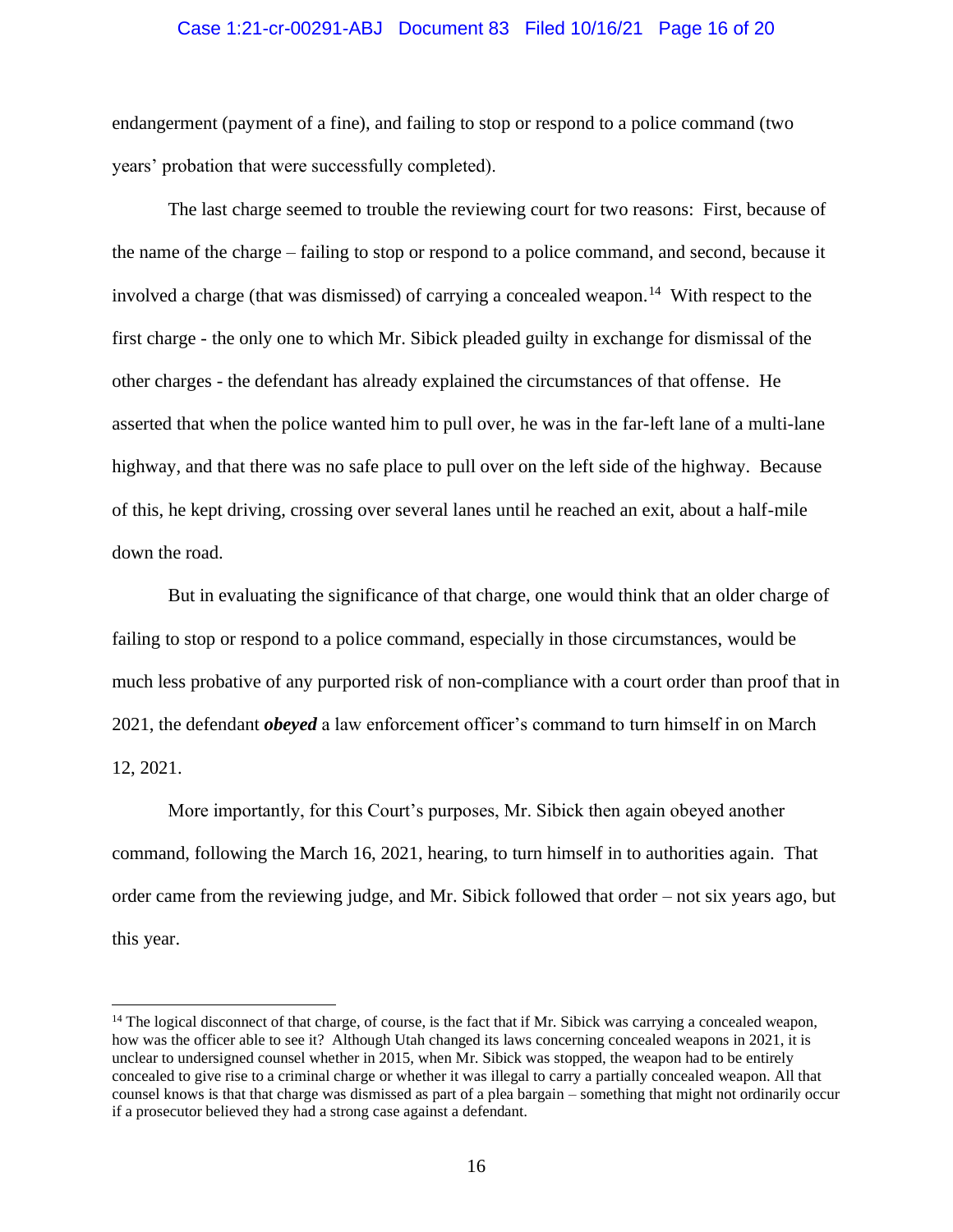# Case 1:21-cr-00291-ABJ Document 83 Filed 10/16/21 Page 16 of 20

endangerment (payment of a fine), and failing to stop or respond to a police command (two years' probation that were successfully completed).

The last charge seemed to trouble the reviewing court for two reasons: First, because of the name of the charge – failing to stop or respond to a police command, and second, because it involved a charge (that was dismissed) of carrying a concealed weapon.<sup>14</sup> With respect to the first charge - the only one to which Mr. Sibick pleaded guilty in exchange for dismissal of the other charges - the defendant has already explained the circumstances of that offense. He asserted that when the police wanted him to pull over, he was in the far-left lane of a multi-lane highway, and that there was no safe place to pull over on the left side of the highway. Because of this, he kept driving, crossing over several lanes until he reached an exit, about a half-mile down the road.

But in evaluating the significance of that charge, one would think that an older charge of failing to stop or respond to a police command, especially in those circumstances, would be much less probative of any purported risk of non-compliance with a court order than proof that in 2021, the defendant *obeyed* a law enforcement officer's command to turn himself in on March 12, 2021.

More importantly, for this Court's purposes, Mr. Sibick then again obeyed another command, following the March 16, 2021, hearing, to turn himself in to authorities again. That order came from the reviewing judge, and Mr. Sibick followed that order – not six years ago, but this year.

 $14$  The logical disconnect of that charge, of course, is the fact that if Mr. Sibick was carrying a concealed weapon, how was the officer able to see it? Although Utah changed its laws concerning concealed weapons in 2021, it is unclear to undersigned counsel whether in 2015, when Mr. Sibick was stopped, the weapon had to be entirely concealed to give rise to a criminal charge or whether it was illegal to carry a partially concealed weapon. All that counsel knows is that that charge was dismissed as part of a plea bargain – something that might not ordinarily occur if a prosecutor believed they had a strong case against a defendant.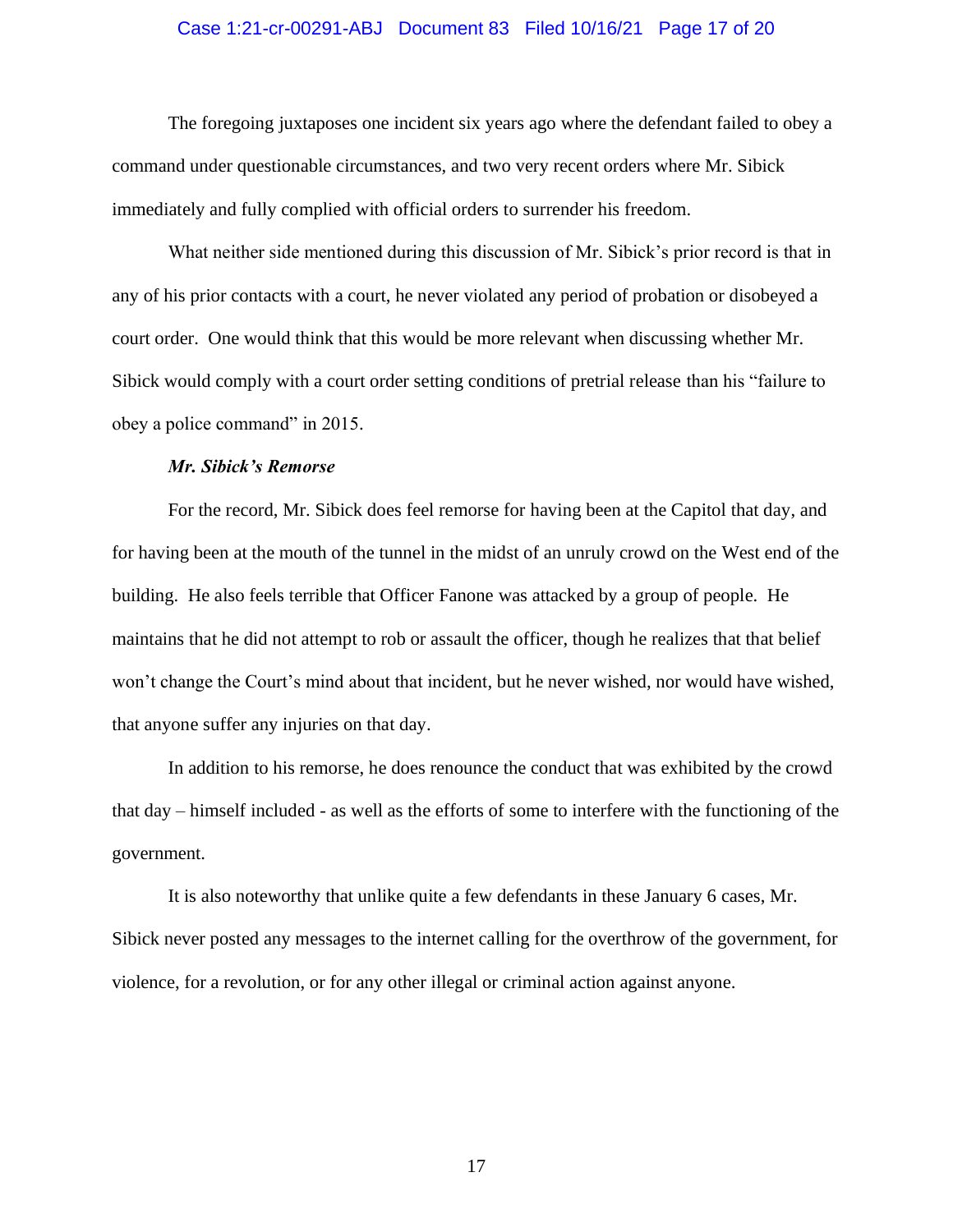# Case 1:21-cr-00291-ABJ Document 83 Filed 10/16/21 Page 17 of 20

The foregoing juxtaposes one incident six years ago where the defendant failed to obey a command under questionable circumstances, and two very recent orders where Mr. Sibick immediately and fully complied with official orders to surrender his freedom.

What neither side mentioned during this discussion of Mr. Sibick's prior record is that in any of his prior contacts with a court, he never violated any period of probation or disobeyed a court order. One would think that this would be more relevant when discussing whether Mr. Sibick would comply with a court order setting conditions of pretrial release than his "failure to obey a police command" in 2015.

# *Mr. Sibick's Remorse*

For the record, Mr. Sibick does feel remorse for having been at the Capitol that day, and for having been at the mouth of the tunnel in the midst of an unruly crowd on the West end of the building. He also feels terrible that Officer Fanone was attacked by a group of people. He maintains that he did not attempt to rob or assault the officer, though he realizes that that belief won't change the Court's mind about that incident, but he never wished, nor would have wished, that anyone suffer any injuries on that day.

In addition to his remorse, he does renounce the conduct that was exhibited by the crowd that day – himself included - as well as the efforts of some to interfere with the functioning of the government.

It is also noteworthy that unlike quite a few defendants in these January 6 cases, Mr. Sibick never posted any messages to the internet calling for the overthrow of the government, for violence, for a revolution, or for any other illegal or criminal action against anyone.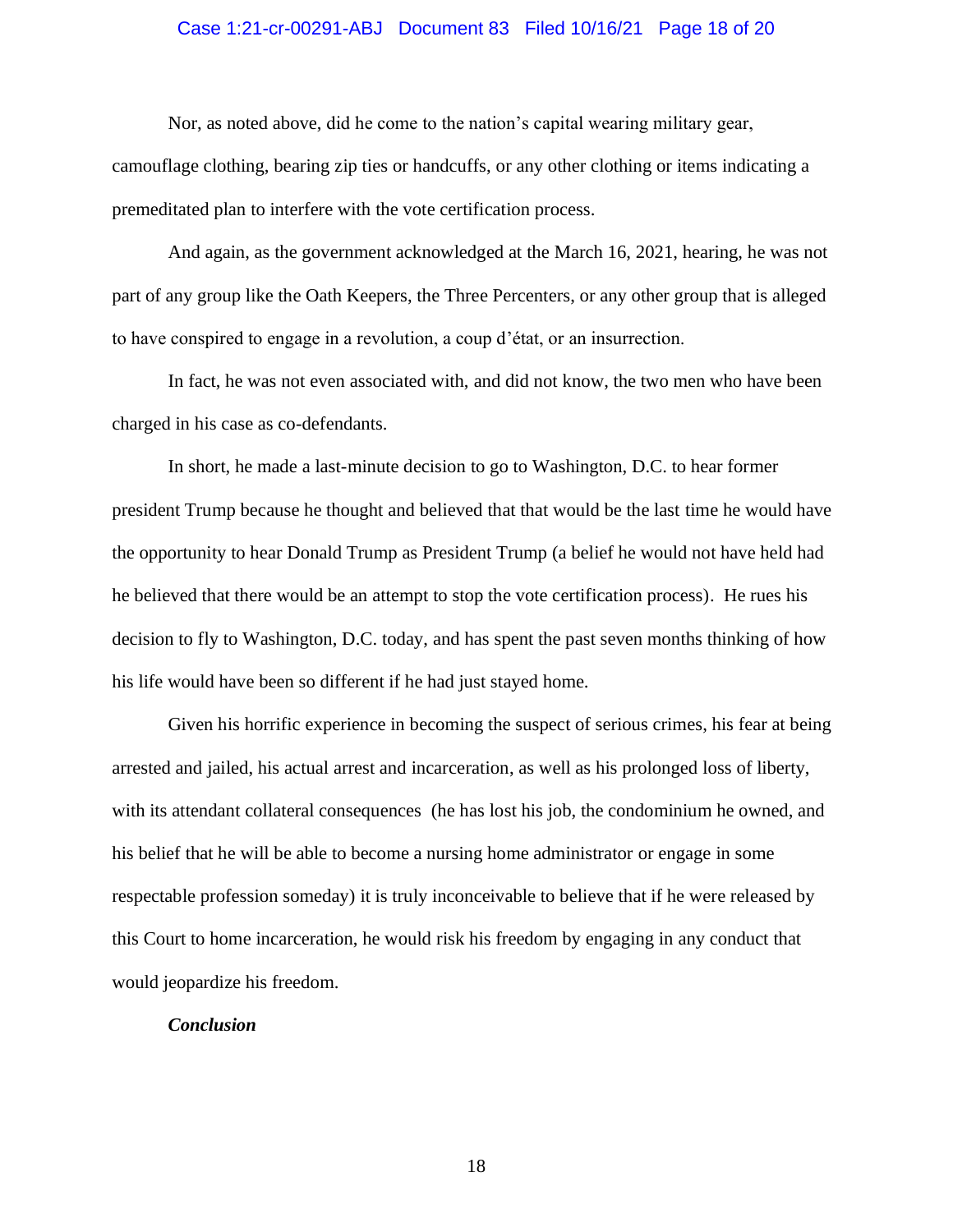# Case 1:21-cr-00291-ABJ Document 83 Filed 10/16/21 Page 18 of 20

Nor, as noted above, did he come to the nation's capital wearing military gear,

camouflage clothing, bearing zip ties or handcuffs, or any other clothing or items indicating a premeditated plan to interfere with the vote certification process.

And again, as the government acknowledged at the March 16, 2021, hearing, he was not part of any group like the Oath Keepers, the Three Percenters, or any other group that is alleged to have conspired to engage in a revolution, a coup d'état, or an insurrection.

In fact, he was not even associated with, and did not know, the two men who have been charged in his case as co-defendants.

In short, he made a last-minute decision to go to Washington, D.C. to hear former president Trump because he thought and believed that that would be the last time he would have the opportunity to hear Donald Trump as President Trump (a belief he would not have held had he believed that there would be an attempt to stop the vote certification process). He rues his decision to fly to Washington, D.C. today, and has spent the past seven months thinking of how his life would have been so different if he had just stayed home.

Given his horrific experience in becoming the suspect of serious crimes, his fear at being arrested and jailed, his actual arrest and incarceration, as well as his prolonged loss of liberty, with its attendant collateral consequences (he has lost his job, the condominium he owned, and his belief that he will be able to become a nursing home administrator or engage in some respectable profession someday) it is truly inconceivable to believe that if he were released by this Court to home incarceration, he would risk his freedom by engaging in any conduct that would jeopardize his freedom.

### *Conclusion*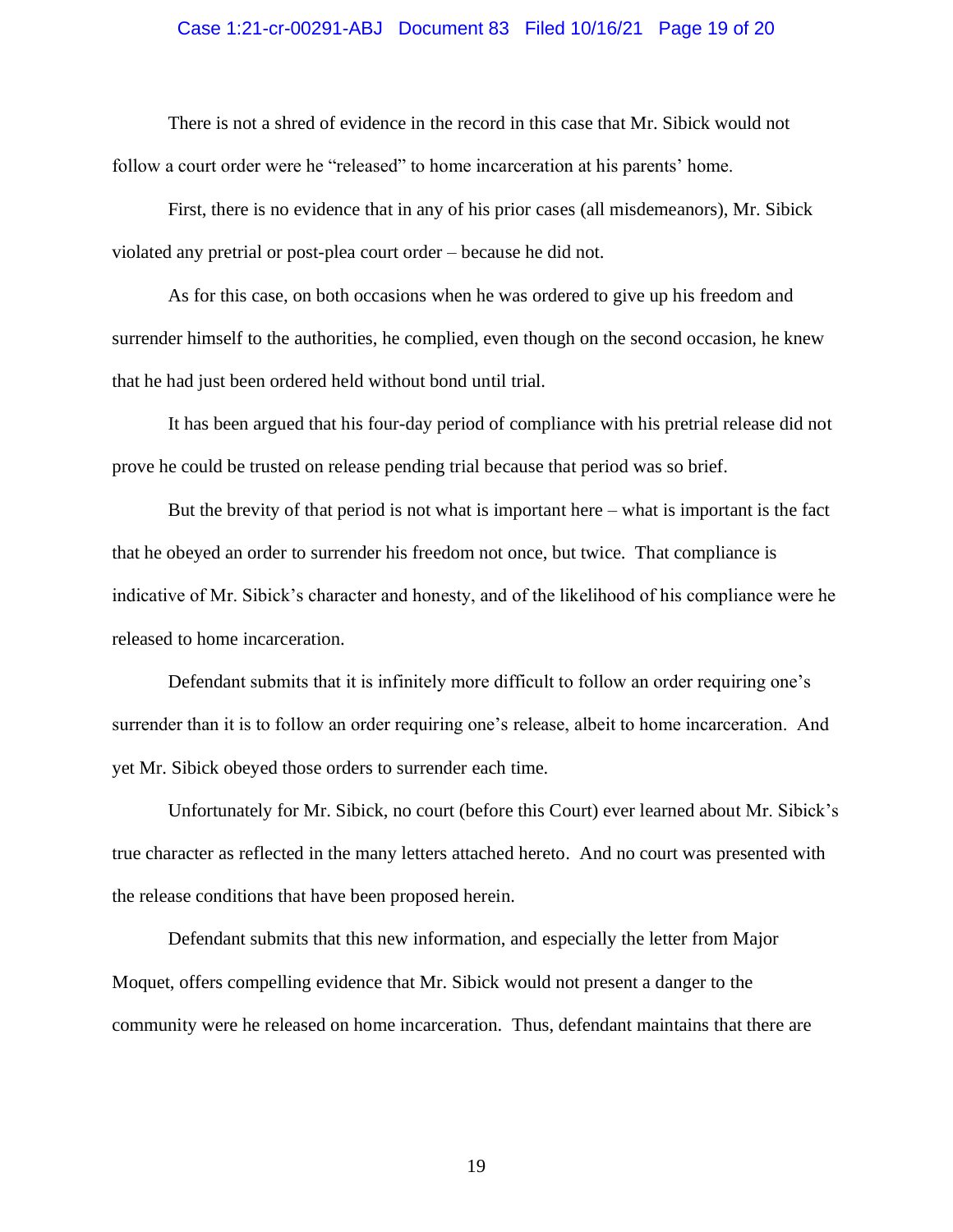# Case 1:21-cr-00291-ABJ Document 83 Filed 10/16/21 Page 19 of 20

There is not a shred of evidence in the record in this case that Mr. Sibick would not follow a court order were he "released" to home incarceration at his parents' home.

First, there is no evidence that in any of his prior cases (all misdemeanors), Mr. Sibick violated any pretrial or post-plea court order – because he did not.

As for this case, on both occasions when he was ordered to give up his freedom and surrender himself to the authorities, he complied, even though on the second occasion, he knew that he had just been ordered held without bond until trial.

It has been argued that his four-day period of compliance with his pretrial release did not prove he could be trusted on release pending trial because that period was so brief.

But the brevity of that period is not what is important here – what is important is the fact that he obeyed an order to surrender his freedom not once, but twice. That compliance is indicative of Mr. Sibick's character and honesty, and of the likelihood of his compliance were he released to home incarceration.

Defendant submits that it is infinitely more difficult to follow an order requiring one's surrender than it is to follow an order requiring one's release, albeit to home incarceration. And yet Mr. Sibick obeyed those orders to surrender each time.

Unfortunately for Mr. Sibick, no court (before this Court) ever learned about Mr. Sibick's true character as reflected in the many letters attached hereto. And no court was presented with the release conditions that have been proposed herein.

Defendant submits that this new information, and especially the letter from Major Moquet, offers compelling evidence that Mr. Sibick would not present a danger to the community were he released on home incarceration. Thus, defendant maintains that there are